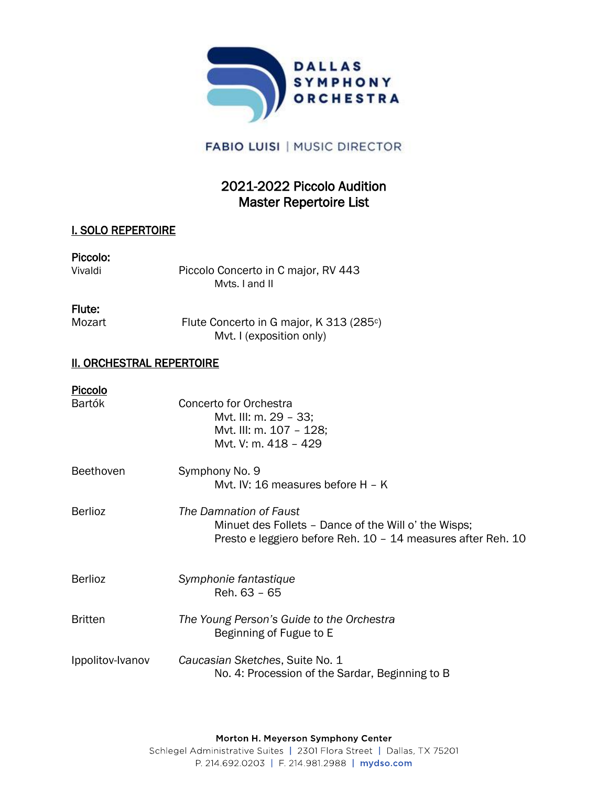

# **FABIO LUISI | MUSIC DIRECTOR**

## 2021-2022 Piccolo Audition Master Repertoire List

#### I. SOLO REPERTOIRE

#### Piccolo:

Vivaldi Piccolo Concerto in C major, RV 443 Mvts. I and II

#### Flute:

Mozart Flute Concerto in G major, K 313 (285<sup>c</sup>) Mvt. I (exposition only)

### **II. ORCHESTRAL REPERTOIRE**

| <b>Piccolo</b>   |                                                                                                                                                |
|------------------|------------------------------------------------------------------------------------------------------------------------------------------------|
| <b>Bartók</b>    | <b>Concerto for Orchestra</b><br>Mvt. III: m. 29 - 33;<br>Mvt. III: m. 107 - 128;<br>Myt. V: m. 418 - 429                                      |
| <b>Beethoven</b> | Symphony No. 9<br>Myt. IV: 16 measures before H - K                                                                                            |
| <b>Berlioz</b>   | The Damnation of Faust<br>Minuet des Follets – Dance of the Will o' the Wisps;<br>Presto e leggiero before Reh. 10 – 14 measures after Reh. 10 |
| <b>Berlioz</b>   | Symphonie fantastique<br>Reh. 63 - 65                                                                                                          |
| <b>Britten</b>   | The Young Person's Guide to the Orchestra<br>Beginning of Fugue to E                                                                           |
| Ippolitov-Ivanov | Caucasian Sketches, Suite No. 1<br>No. 4: Procession of the Sardar, Beginning to B                                                             |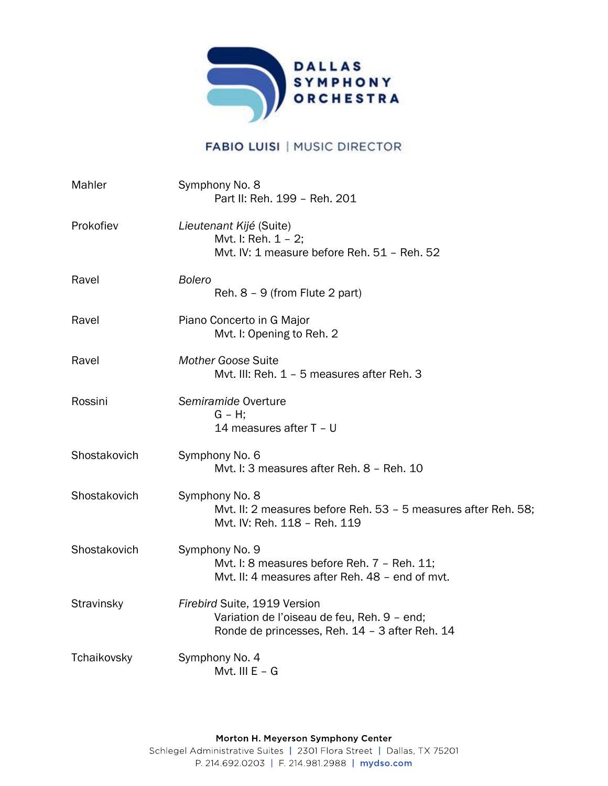

## **FABIO LUISI | MUSIC DIRECTOR**

| Mahler       | Symphony No. 8<br>Part II: Reh. 199 - Reh. 201                                                                                |
|--------------|-------------------------------------------------------------------------------------------------------------------------------|
| Prokofiev    | Lieutenant Kijé (Suite)<br>Mvt. I: Reh. 1 - 2;<br>Mvt. IV: 1 measure before Reh. 51 - Reh. 52                                 |
| Ravel        | <b>Bolero</b><br>Reh. 8 - 9 (from Flute 2 part)                                                                               |
| Ravel        | Piano Concerto in G Major<br>Myt. I: Opening to Reh. 2                                                                        |
| Ravel        | <b>Mother Goose Suite</b><br>Mvt. III: Reh. 1 - 5 measures after Reh. 3                                                       |
| Rossini      | Semiramide Overture<br>$G - H$ ;<br>14 measures after T - U                                                                   |
| Shostakovich | Symphony No. 6<br>Myt. I: 3 measures after Reh. 8 - Reh. 10                                                                   |
| Shostakovich | Symphony No. 8<br>Myt. II: 2 measures before Reh. 53 - 5 measures after Reh. 58;<br>Mvt. IV: Reh. 118 - Reh. 119              |
| Shostakovich | Symphony No. 9<br>Mvt. I: 8 measures before Reh. 7 - Reh. 11;<br>Myt. II: 4 measures after Reh. 48 - end of myt.              |
| Stravinsky   | Firebird Suite, 1919 Version<br>Variation de l'oiseau de feu, Reh. 9 - end;<br>Ronde de princesses, Reh. 14 - 3 after Reh. 14 |
| Tchaikovsky  | Symphony No. 4<br>Mvt. III $E - G$                                                                                            |